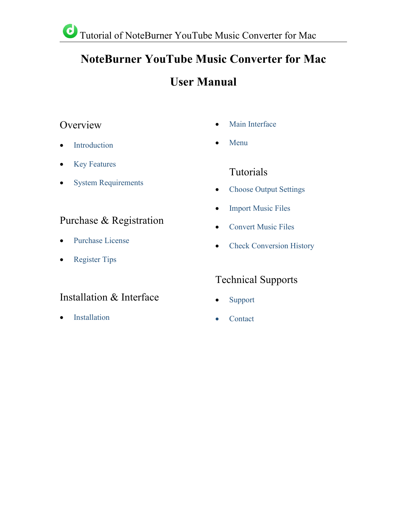# **NoteBurner YouTube Music Converter for Mac**

# **User Manual**

## Overview •

- [Introduction](#page-1-0)
- Key [Features](#page-1-1)
- System [Requirements](#page-1-2)

## Purchase & Registration

- [Purchase](#page-2-0) License
- [Register](#page-3-0) Tips

## Installation & Interface

[Installation](#page-4-0)

- Main [Interface](#page-4-1)
- [Menu](#page-5-0)

### Tutorials

- Choose Output [Settings](#page-6-0)
- [Import](#page-6-1) Music Files
- [Convert](#page-8-0) Music Files
- Check [Conversion](#page-8-1) History

## Technical Supports

- [Support](#page-10-0)
- [Contact](#page-10-1)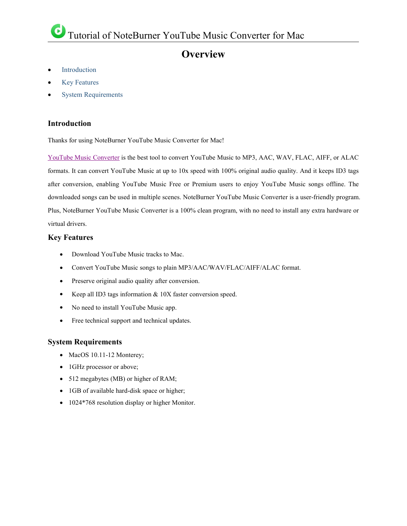## **Overview**

- [Introduction](#page-1-0)
- Key [Features](#page-1-1)
- System [Requirements](#page-1-2)

#### <span id="page-1-0"></span>**Introduction**

Thanks for using NoteBurner YouTube Music Converter for Mac!

YouTube Music [Converter](https://www.noteburner.com/youtube-music-converter-mac.html) is the best tool to convert YouTube Music to MP3, AAC, WAV, FLAC, AIFF, or ALAC formats. It can convert YouTube Music at up to 10x speed with 100% original audio quality. And it keeps ID3 tags after conversion, enabling YouTube Music Free or Premium users to enjoy YouTube Music songs offline. The downloaded songs can be used in multiple scenes. NoteBurner YouTube Music Converter is a user-friendly program. Plus, NoteBurner YouTube Music Converter is a 100% clean program, with no need to install any extra hardware or virtual drivers.

#### <span id="page-1-1"></span>**Key Features**

- Download YouTube Music tracks to Mac.
- Convert YouTube Music songs to plain MP3/AAC/WAV/FLAC/AIFF/ALAC format.
- Preserve original audio quality after conversion.
- Keep all ID3 tags information & 10X faster conversion speed.
- No need to install YouTube Music app.
- Free technical support and technical updates.

#### <span id="page-1-2"></span>**System Requirements**

- MacOS 10.11-12 Monterey;
- 1GHz processor or above;
- 512 megabytes (MB) or higher of RAM;
- 1GB of available hard-disk space or higher;
- 1024\*768 resolution display or higher Monitor.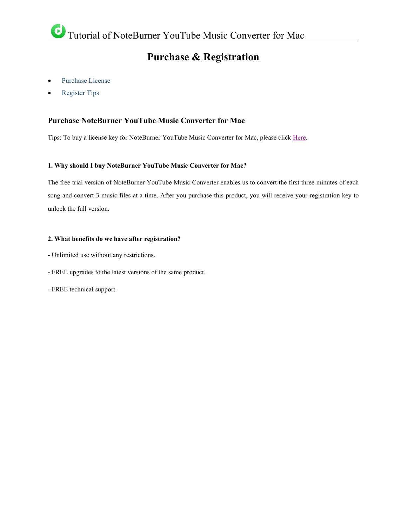### **Purchase & Registration**

- [Purchase](#page-2-0) License
- [Register](#page-3-0) Tips

#### <span id="page-2-0"></span>**Purchase NoteBurner YouTube Music Converter for Mac**

Tips: To buy a license key for NoteBurner YouTube Music Converter for Mac, please click [Here](https://www.noteburner.com/order-youtube-music-converter-mac.html).

#### **1. Why should I buy NoteBurner YouTube Music Converter for Mac?**

The free trial version of NoteBurner YouTube Music Converter enables us to convert the first three minutes of each song and convert 3 music files ata time. After you purchase this product, you will receive your registration key to unlock the full version.

#### **2. What benefits do we have after registration?**

- Unlimited use without any restrictions.
- FREE upgrades to the latest versions of the same product.<br>- FREE technical support.
-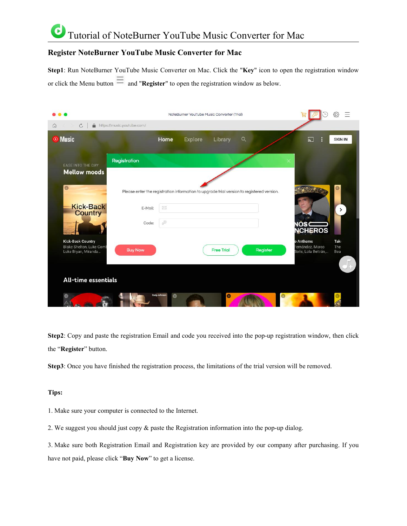### C Tutorial of NoteBurner YouTube Music Converter for Mac

### <span id="page-3-0"></span>**Register NoteBurner YouTube Music Converter for Mac**

**Step1**: Run NoteBurner YouTube Music Converter on Mac. Click the "**Key**" icon to open the registration window or click the Menu button  $\equiv$  and "**Register**" to open the registration window as below.

|                                                      |                                                                                                                   | NoteBurner YouTube Music Converter (Trial) |          |                                                       |                   |
|------------------------------------------------------|-------------------------------------------------------------------------------------------------------------------|--------------------------------------------|----------|-------------------------------------------------------|-------------------|
| $\circ$<br>≙<br>⋒                                    | https://music.youtube.com/                                                                                        |                                            |          |                                                       |                   |
| <b>O</b> Music                                       | Home                                                                                                              | <b>Explore</b><br>Library                  | Q        | ÷<br>$\sum$                                           | <b>SIGN IN</b>    |
| <b>EASE INTO THE DAY</b>                             | Registration                                                                                                      |                                            |          | $\times$                                              |                   |
| <b>Mellow moods</b><br>$\circ$                       |                                                                                                                   |                                            |          |                                                       | $\circledcirc$    |
| <b>Kick-Back</b>                                     | Please enter the registration information to upgrade trial version to registered version.<br>$\bowtie$<br>E-Mail: |                                            |          |                                                       | $\rightarrow$     |
| <b>Country</b>                                       | $\mathcal{P}$<br>Code:                                                                                            |                                            |          | <b>VOSC</b>                                           |                   |
| <b>Kick-Back Country</b><br>Blake Shelton, Luke Comb |                                                                                                                   |                                            |          | <b>NCHEROS</b><br><b>p</b> Anthems<br>ernández, Marco | <b>Tak</b><br>The |
| Luke Bryan, Miranda                                  | <b>Buy Now</b>                                                                                                    | <b>Free Trial</b>                          | Register | Solís, Lola Beltrán,                                  | Bea               |
| All-time essentials                                  |                                                                                                                   |                                            |          |                                                       |                   |
| $\bullet$                                            | Cody Johnson<br>$\circ$                                                                                           | $\bullet$                                  | $\circ$  |                                                       |                   |

**Step2**: Copy and paste the registration Email and code you received into the pop-up registration window, then click the "**Register**" button.

Step3: Once you have finished the registration process, the limitations of the trial version will be removed.

#### **Tips:**

1. Make sure your computer is connected to the Internet.

2. We suggest you should just copy & paste the Registration information into the pop-up dialog.

3. Make sure both Registration Email and Registration key are provided by our company after purchasing. If you have not paid, please click "**Buy Now**" to get a license.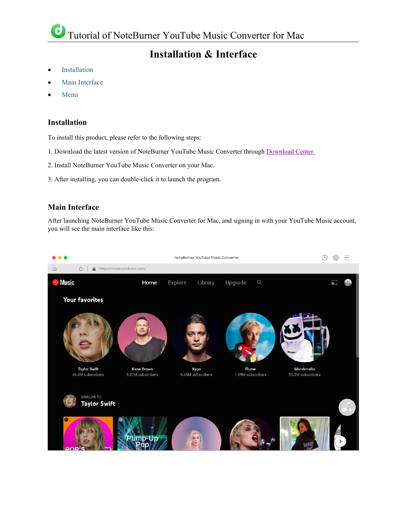## **Installation & Interface**

- [Installation](#page-4-0)
- Main [Interface](#page-4-1)
- [Menu](#page-5-0)

### <span id="page-4-0"></span>**Installation**

To install this product, please refer to the following steps:

- 1. Download the latest version of NoteBurner YouTube Music Converter through [Download](https://www.noteburner.com/download.html) Center.
- 2. Install NoteBurner YouTube Music Converter on your Mac.
- 3. After installing, you can double-click it to launch the program.

#### <span id="page-4-1"></span>**Main Interface**

After launching NoteBurner YouTube Music Converter for Mac, and signing in with your YouTube Music account, you will see the main interface like this:

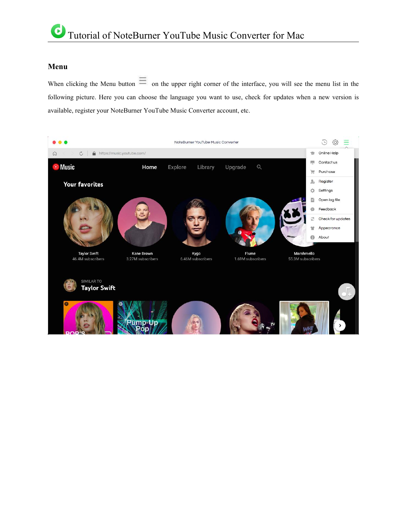#### <span id="page-5-0"></span>**Menu**

When clicking the Menu button  $\equiv$  on the upper right corner of the interface, you will see the menu list in the following picture. Here you can choose the language you want to use, check for updates when a new version is available, register your NoteBurner YouTube Music Converter account, etc.

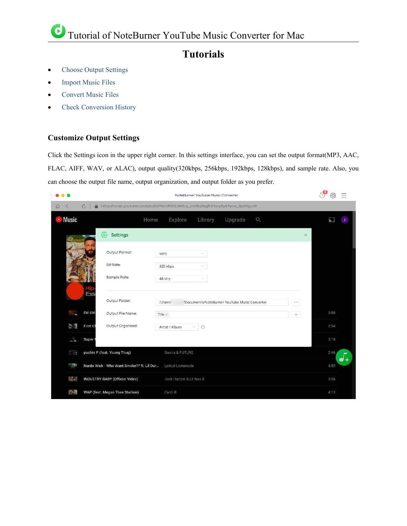### **Tutorials**

- Choose Output [Settings](#page-6-0)
- [Import](#page-6-1) Music Files
- [Convert](#page-8-0) Music Files
- Check [Conversion](#page-8-1) History

#### <span id="page-6-0"></span>**Customize Output Settings**

Click the Settings icon in the upper right corner. In this settings interface, you can set the output format(MP3, AAC, FLAC, AIFF, WAV, or ALAC), output quality(320kbps, 256kbps, 192kbps, 128kbps), and sample rate. Also, you can choose the output file name, output organization, and output folder as you prefer.

<span id="page-6-1"></span>

|                              | $\tau$ <sup>3</sup><br>NoteBurner YouTube Music Converter                                |                                               |          |                     |
|------------------------------|------------------------------------------------------------------------------------------|-----------------------------------------------|----------|---------------------|
| $\circ$<br>$\Omega$<br>$\lt$ | https://music.youtube.com/playlist?list=RDCLAK5uy_mVRuj5egfh21e-pXyA3ymx_0p4Xlg-c0l<br>≞ |                                               |          |                     |
| ⊙ Music                      | Explore<br>Home                                                                          | Library<br>Upgrade                            | $\alpha$ | Lé.<br>$\mathbf{z}$ |
|                              | €<br>Settings                                                                            |                                               |          | ×                   |
|                              | Output Format:<br>MP3                                                                    | $\vee$                                        |          |                     |
|                              | Bit Rate:<br>320 kbps                                                                    | v                                             |          |                     |
|                              | Sample Rate:<br>48 kHz                                                                   | ×.                                            |          |                     |
|                              | Ess<br>Output Folder:<br>/Users/                                                         | 'Documents/NoteBurner YouTube Music Converter |          |                     |
| W.<br>I'M ON                 | Output File Name:<br>Title $\times$                                                      |                                               | $+$      | 3:58                |
| ै                            | Output Organized:<br>First Cl<br>Artist / Album                                          | $^{\circ}$                                    |          | 2:54                |
|                              | Super 0                                                                                  |                                               |          | 3:18                |
| $\mathcal{L}$ and            | pushin P (feat. Young Thug)<br>Gunna & FUTURE                                            |                                               |          | 2:46<br>$\bullet$ + |
| <b>Read</b>                  | Nardo Wick - Who Want Smoke?? ft. Lil Dur<br>Lyrical Lemonade                            |                                               |          | 4:59                |
| NG M                         | <b>INDUSTRY BABY (Official Video)</b><br>Jack Harlow & Lil Nas X                         |                                               |          | 3:56                |
| <b>MAS</b>                   | WAP (feat. Megan Thee Stallion)<br>Cardi B                                               |                                               |          | 4:13                |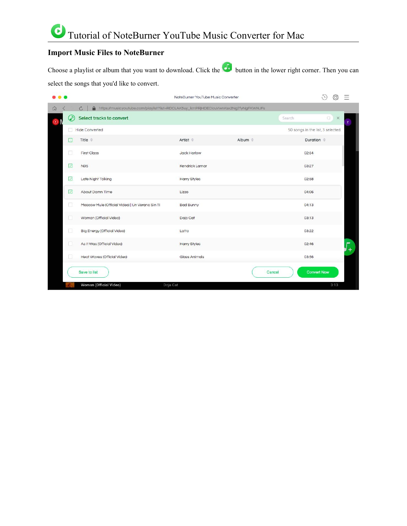### **Import Music Files to NoteBurner**

Choose a playlist or album that you want to download. Click the **button** in the lower right corner. Then you can select the songs that you'd like to convert.

|          |                                                                                                     |                                                 | NoteBurner YouTube Music Converter |                                                                       |                                   | G,<br>ξÕ                   |            |
|----------|-----------------------------------------------------------------------------------------------------|-------------------------------------------------|------------------------------------|-----------------------------------------------------------------------|-----------------------------------|----------------------------|------------|
| $\Omega$ | https://music.youtube.com/playlist?list=RDCLAK5uy_kmPR HDECIcuVwnKsx2Ng7fyNgFKWNJFs<br>⋒<br>$\circ$ |                                                 |                                    |                                                                       |                                   |                            |            |
| $\odot$  | $\bm{\mathcal{C}}$                                                                                  | Select tracks to convert                        |                                    |                                                                       | Search                            | $\circledcirc$<br>$\times$ | z          |
|          | п                                                                                                   | <b>Hide Converted</b>                           |                                    |                                                                       | 50 songs in the list, 3 selected. |                            |            |
|          | $\Box$                                                                                              | Title $\triangleq$                              | Artist $\triangleq$                | Album $\stackrel{\scriptscriptstyle\oplus}{\scriptscriptstyle\oplus}$ | Duration $\Rightarrow$            |                            |            |
|          | H                                                                                                   | <b>First Class</b>                              | Jack Harlow                        |                                                                       | 02:54                             |                            |            |
|          | ☑                                                                                                   | <b>N95</b>                                      | Kendrick Lamar                     |                                                                       | 03:27                             |                            |            |
|          | $\overline{\smile}$                                                                                 | Late Night Talking                              | <b>Harry Styles</b>                |                                                                       | 02:58                             |                            |            |
|          | ☑                                                                                                   | About Damn Time                                 | Lizzo                              |                                                                       | 04:06                             |                            |            |
|          | п                                                                                                   | Moscow Mule (Official Video)   Un Verano Sin Ti | <b>Bad Bunny</b>                   |                                                                       | 04:13                             |                            |            |
|          | п                                                                                                   | Woman (Official Video)                          | Doja Cat                           |                                                                       | 03:13                             |                            |            |
|          | □                                                                                                   | <b>Big Energy (Official Video)</b>              | Latto                              |                                                                       | 03:22                             |                            |            |
|          | □                                                                                                   | As It Was (Official Video)                      | <b>Harry Styles</b>                |                                                                       | 02:46                             |                            | pur<br>$+$ |
|          | u                                                                                                   | Heat Waves (Official Video)                     | <b>Glass Animals</b>               |                                                                       | 03:56                             |                            |            |
|          |                                                                                                     | Save to list                                    |                                    | Cancel                                                                | <b>Convert Now</b>                |                            |            |
|          |                                                                                                     | Woman (Official Video)<br>Doja Cat              |                                    |                                                                       |                                   | 3:13                       |            |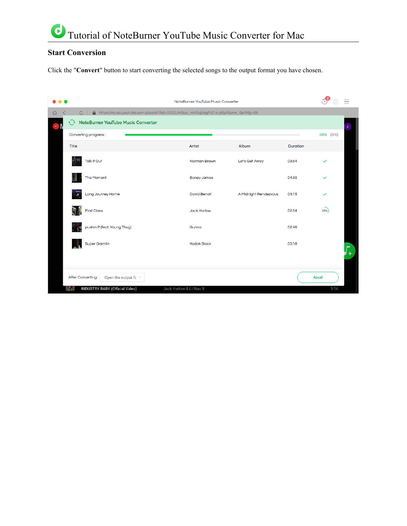### <span id="page-8-0"></span>**Start Conversion**

Click the "Convert" button to start converting the selected songs to the output format you have chosen.

<span id="page-8-1"></span>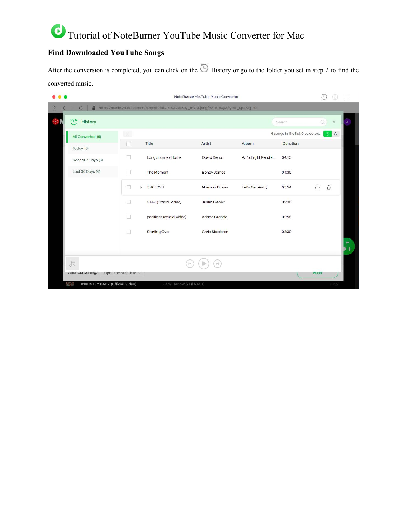### **Find Downloaded YouTube Songs**

After the conversion is completed, you can click on the  $\bigcirc$  History or go to the folder you set in step 2 to find the converted music.